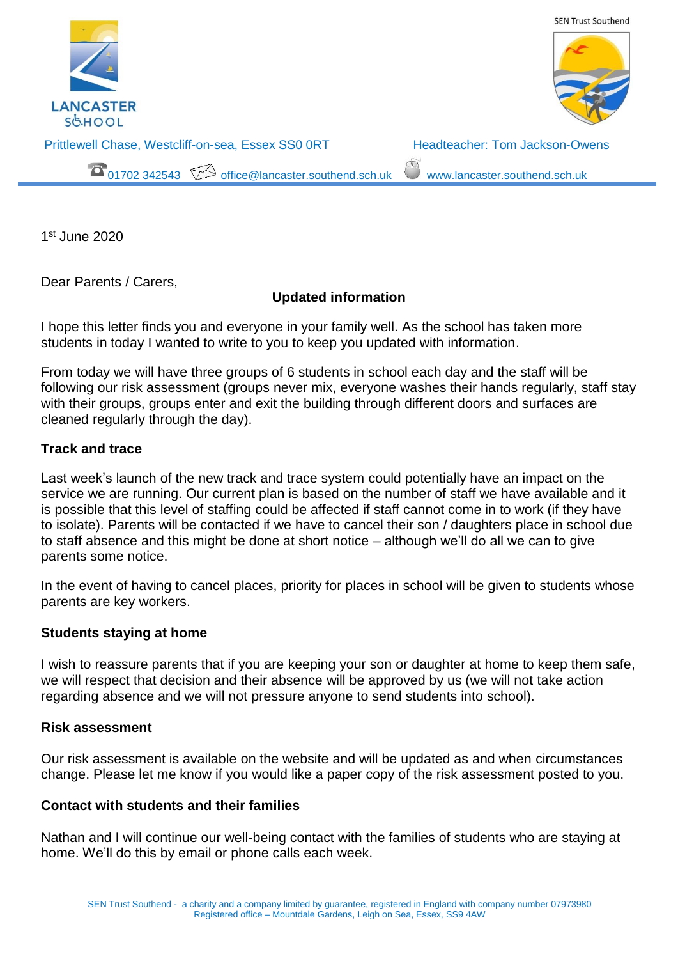

1 st June 2020

Dear Parents / Carers,

# **Updated information**

I hope this letter finds you and everyone in your family well. As the school has taken more students in today I wanted to write to you to keep you updated with information.

From today we will have three groups of 6 students in school each day and the staff will be following our risk assessment (groups never mix, everyone washes their hands regularly, staff stay with their groups, groups enter and exit the building through different doors and surfaces are cleaned regularly through the day).

### **Track and trace**

Last week's launch of the new track and trace system could potentially have an impact on the service we are running. Our current plan is based on the number of staff we have available and it is possible that this level of staffing could be affected if staff cannot come in to work (if they have to isolate). Parents will be contacted if we have to cancel their son / daughters place in school due to staff absence and this might be done at short notice – although we'll do all we can to give parents some notice.

In the event of having to cancel places, priority for places in school will be given to students whose parents are key workers.

#### **Students staying at home**

I wish to reassure parents that if you are keeping your son or daughter at home to keep them safe, we will respect that decision and their absence will be approved by us (we will not take action regarding absence and we will not pressure anyone to send students into school).

#### **Risk assessment**

Our risk assessment is available on the website and will be updated as and when circumstances change. Please let me know if you would like a paper copy of the risk assessment posted to you.

## **Contact with students and their families**

Nathan and I will continue our well-being contact with the families of students who are staying at home. We'll do this by email or phone calls each week.